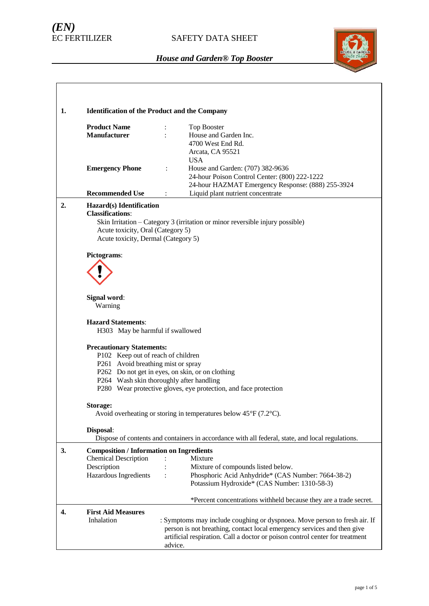# *(EN)*

## SAFETY DATA SHEET



| 1. | <b>Identification of the Product and the Company</b>                                                                                                                                                                                                                                                                                                       |                                                                                                                                                                                                                                                 |  |
|----|------------------------------------------------------------------------------------------------------------------------------------------------------------------------------------------------------------------------------------------------------------------------------------------------------------------------------------------------------------|-------------------------------------------------------------------------------------------------------------------------------------------------------------------------------------------------------------------------------------------------|--|
|    | <b>Product Name</b><br><b>Manufacturer</b>                                                                                                                                                                                                                                                                                                                 | Top Booster<br>House and Garden Inc.<br>4700 West End Rd.<br>Arcata, CA 95521<br><b>USA</b>                                                                                                                                                     |  |
|    | <b>Emergency Phone</b>                                                                                                                                                                                                                                                                                                                                     | House and Garden: (707) 382-9636<br>24-hour Poison Control Center: (800) 222-1222<br>24-hour HAZMAT Emergency Response: (888) 255-3924                                                                                                          |  |
|    | <b>Recommended Use</b>                                                                                                                                                                                                                                                                                                                                     | Liquid plant nutrient concentrate<br>÷                                                                                                                                                                                                          |  |
| 2. | Hazard(s) Identification<br><b>Classifications:</b><br>Acute toxicity, Oral (Category 5)<br>Acute toxicity, Dermal (Category 5)<br>Pictograms:<br>Signal word:<br>Warning<br><b>Hazard Statements:</b><br>H303 May be harmful if swallowed<br><b>Precautionary Statements:</b><br>P102 Keep out of reach of children<br>P261 Avoid breathing mist or spray | Skin Irritation - Category 3 (irritation or minor reversible injury possible)<br>P262 Do not get in eyes, on skin, or on clothing                                                                                                               |  |
|    |                                                                                                                                                                                                                                                                                                                                                            | P264 Wash skin thoroughly after handling                                                                                                                                                                                                        |  |
|    |                                                                                                                                                                                                                                                                                                                                                            | P280 Wear protective gloves, eye protection, and face protection                                                                                                                                                                                |  |
|    | Storage:                                                                                                                                                                                                                                                                                                                                                   | Avoid overheating or storing in temperatures below $45^{\circ}F(7.2^{\circ}C)$ .                                                                                                                                                                |  |
|    | Disposal:                                                                                                                                                                                                                                                                                                                                                  | Dispose of contents and containers in accordance with all federal, state, and local regulations.                                                                                                                                                |  |
| 3. | <b>Composition / Information on Ingredients</b>                                                                                                                                                                                                                                                                                                            |                                                                                                                                                                                                                                                 |  |
|    | <b>Chemical Description</b><br>Description                                                                                                                                                                                                                                                                                                                 | Mixture<br>Mixture of compounds listed below.                                                                                                                                                                                                   |  |
|    | Hazardous Ingredients                                                                                                                                                                                                                                                                                                                                      | Phosphoric Acid Anhydride* (CAS Number: 7664-38-2)<br>Potassium Hydroxide* (CAS Number: 1310-58-3)                                                                                                                                              |  |
|    |                                                                                                                                                                                                                                                                                                                                                            | *Percent concentrations withheld because they are a trade secret.                                                                                                                                                                               |  |
| 4. | <b>First Aid Measures</b><br>Inhalation                                                                                                                                                                                                                                                                                                                    | : Symptoms may include coughing or dyspnoea. Move person to fresh air. If<br>person is not breathing, contact local emergency services and then give<br>artificial respiration. Call a doctor or poison control center for treatment<br>advice. |  |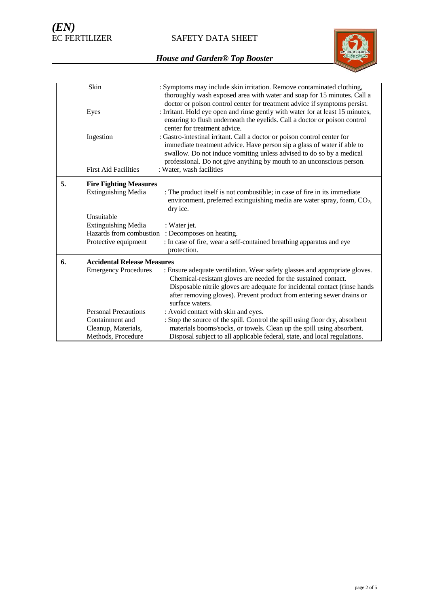SAFETY DATA SHEET



|    | Skin                                                         | : Symptoms may include skin irritation. Remove contaminated clothing,<br>thoroughly wash exposed area with water and soap for 15 minutes. Call a<br>doctor or poison control center for treatment advice if symptoms persist.                                                                                           |
|----|--------------------------------------------------------------|-------------------------------------------------------------------------------------------------------------------------------------------------------------------------------------------------------------------------------------------------------------------------------------------------------------------------|
|    | Eyes                                                         | : Irritant. Hold eye open and rinse gently with water for at least 15 minutes,<br>ensuring to flush underneath the eyelids. Call a doctor or poison control<br>center for treatment advice.                                                                                                                             |
|    | Ingestion                                                    | : Gastro-intestinal irritant. Call a doctor or poison control center for<br>immediate treatment advice. Have person sip a glass of water if able to<br>swallow. Do not induce vomiting unless advised to do so by a medical<br>professional. Do not give anything by mouth to an unconscious person.                    |
|    | <b>First Aid Facilities</b>                                  | : Water, wash facilities                                                                                                                                                                                                                                                                                                |
| 5. | <b>Fire Fighting Measures</b><br>Extinguishing Media         | : The product itself is not combustible; in case of fire in its immediate<br>environment, preferred extinguishing media are water spray, foam, CO <sub>2</sub> ,<br>dry ice.                                                                                                                                            |
|    | Unsuitable                                                   |                                                                                                                                                                                                                                                                                                                         |
|    | <b>Extinguishing Media</b>                                   | : Water jet.                                                                                                                                                                                                                                                                                                            |
|    | Hazards from combustion<br>Protective equipment              | : Decomposes on heating.<br>: In case of fire, wear a self-contained breathing apparatus and eye                                                                                                                                                                                                                        |
|    |                                                              | protection.                                                                                                                                                                                                                                                                                                             |
| 6. | <b>Accidental Release Measures</b>                           |                                                                                                                                                                                                                                                                                                                         |
|    | <b>Emergency Procedures</b>                                  | : Ensure adequate ventilation. Wear safety glasses and appropriate gloves.<br>Chemical-resistant gloves are needed for the sustained contact.<br>Disposable nitrile gloves are adequate for incidental contact (rinse hands<br>after removing gloves). Prevent product from entering sewer drains or<br>surface waters. |
|    | <b>Personal Precautions</b>                                  | : Avoid contact with skin and eyes.                                                                                                                                                                                                                                                                                     |
|    | Containment and<br>Cleanup, Materials,<br>Methods, Procedure | : Stop the source of the spill. Control the spill using floor dry, absorbent<br>materials booms/socks, or towels. Clean up the spill using absorbent.<br>Disposal subject to all applicable federal, state, and local regulations.                                                                                      |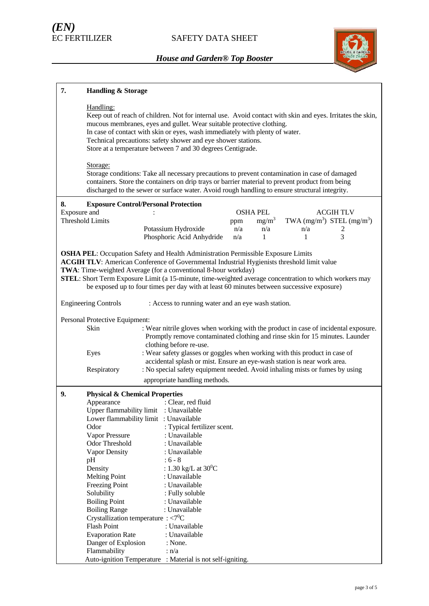

| 7.           | <b>Handling &amp; Storage</b>                        |                                                                                                                                                                                                                                                                                                                                                                                                                                                                        |     |                 |     |                                |
|--------------|------------------------------------------------------|------------------------------------------------------------------------------------------------------------------------------------------------------------------------------------------------------------------------------------------------------------------------------------------------------------------------------------------------------------------------------------------------------------------------------------------------------------------------|-----|-----------------|-----|--------------------------------|
|              | Handling:                                            | Keep out of reach of children. Not for internal use. Avoid contact with skin and eyes. Irritates the skin,<br>mucous membranes, eyes and gullet. Wear suitable protective clothing.<br>In case of contact with skin or eyes, wash immediately with plenty of water.<br>Technical precautions: safety shower and eye shower stations.<br>Store at a temperature between 7 and 30 degrees Centigrade.                                                                    |     |                 |     |                                |
|              | Storage:                                             | Storage conditions: Take all necessary precautions to prevent contamination in case of damaged<br>containers. Store the containers on drip trays or barrier material to prevent product from being<br>discharged to the sewer or surface water. Avoid rough handling to ensure structural integrity.                                                                                                                                                                   |     |                 |     |                                |
| 8.           |                                                      | <b>Exposure Control/Personal Protection</b>                                                                                                                                                                                                                                                                                                                                                                                                                            |     |                 |     |                                |
| Exposure and |                                                      |                                                                                                                                                                                                                                                                                                                                                                                                                                                                        |     | <b>OSHA PEL</b> |     | <b>ACGIHTLV</b>                |
|              | <b>Threshold Limits</b>                              |                                                                                                                                                                                                                                                                                                                                                                                                                                                                        | ppm | $mg/m^3$        |     | TWA $(mg/m^3)$ STEL $(mg/m^3)$ |
|              |                                                      | Potassium Hydroxide                                                                                                                                                                                                                                                                                                                                                                                                                                                    | n/a | n/a             | n/a | 2                              |
|              |                                                      | Phosphoric Acid Anhydride                                                                                                                                                                                                                                                                                                                                                                                                                                              | n/a | 1               | 1   | 3                              |
|              |                                                      | <b>OSHA PEL:</b> Occupation Safety and Health Administration Permissible Exposure Limits<br><b>ACGIH TLV:</b> American Conference of Governmental Industrial Hygienists threshold limit value<br>TWA: Time-weighted Average (for a conventional 8-hour workday)<br>STEL: Short Term Exposure Limit (a 15-minute, time-weighted average concentration to which workers may<br>be exposed up to four times per day with at least 60 minutes between successive exposure) |     |                 |     |                                |
|              | <b>Engineering Controls</b>                          | : Access to running water and an eye wash station.                                                                                                                                                                                                                                                                                                                                                                                                                     |     |                 |     |                                |
|              | Personal Protective Equipment:                       |                                                                                                                                                                                                                                                                                                                                                                                                                                                                        |     |                 |     |                                |
|              | Skin                                                 | : Wear nitrile gloves when working with the product in case of incidental exposure.                                                                                                                                                                                                                                                                                                                                                                                    |     |                 |     |                                |
|              |                                                      | Promptly remove contaminated clothing and rinse skin for 15 minutes. Launder                                                                                                                                                                                                                                                                                                                                                                                           |     |                 |     |                                |
|              | Eyes                                                 | clothing before re-use.<br>: Wear safety glasses or goggles when working with this product in case of                                                                                                                                                                                                                                                                                                                                                                  |     |                 |     |                                |
|              |                                                      | accidental splash or mist. Ensure an eye-wash station is near work area.                                                                                                                                                                                                                                                                                                                                                                                               |     |                 |     |                                |
|              | Respiratory                                          | : No special safety equipment needed. Avoid inhaling mists or fumes by using                                                                                                                                                                                                                                                                                                                                                                                           |     |                 |     |                                |
|              |                                                      | appropriate handling methods.                                                                                                                                                                                                                                                                                                                                                                                                                                          |     |                 |     |                                |
| 9.           | <b>Physical &amp; Chemical Properties</b>            |                                                                                                                                                                                                                                                                                                                                                                                                                                                                        |     |                 |     |                                |
|              | Appearance                                           | : Clear, red fluid                                                                                                                                                                                                                                                                                                                                                                                                                                                     |     |                 |     |                                |
|              |                                                      | Upper flammability limit : Unavailable                                                                                                                                                                                                                                                                                                                                                                                                                                 |     |                 |     |                                |
|              |                                                      | Lower flammability limit : Unavailable                                                                                                                                                                                                                                                                                                                                                                                                                                 |     |                 |     |                                |
|              | Odor                                                 | : Typical fertilizer scent.                                                                                                                                                                                                                                                                                                                                                                                                                                            |     |                 |     |                                |
|              | Vapor Pressure<br><b>Odor Threshold</b>              | : Unavailable<br>: Unavailable                                                                                                                                                                                                                                                                                                                                                                                                                                         |     |                 |     |                                |
|              | Vapor Density                                        | : Unavailable                                                                                                                                                                                                                                                                                                                                                                                                                                                          |     |                 |     |                                |
|              | pH                                                   | $: 6 - 8$                                                                                                                                                                                                                                                                                                                                                                                                                                                              |     |                 |     |                                |
|              | Density                                              | : 1.30 kg/L at $30^0C$                                                                                                                                                                                                                                                                                                                                                                                                                                                 |     |                 |     |                                |
|              | <b>Melting Point</b>                                 | : Unavailable                                                                                                                                                                                                                                                                                                                                                                                                                                                          |     |                 |     |                                |
|              | <b>Freezing Point</b>                                | : Unavailable                                                                                                                                                                                                                                                                                                                                                                                                                                                          |     |                 |     |                                |
|              | Solubility                                           | : Fully soluble                                                                                                                                                                                                                                                                                                                                                                                                                                                        |     |                 |     |                                |
|              | <b>Boiling Point</b><br><b>Boiling Range</b>         | : Unavailable<br>: Unavailable                                                                                                                                                                                                                                                                                                                                                                                                                                         |     |                 |     |                                |
|              | Crystallization temperature : $\langle 7^0C \rangle$ |                                                                                                                                                                                                                                                                                                                                                                                                                                                                        |     |                 |     |                                |
|              | <b>Flash Point</b>                                   | : Unavailable                                                                                                                                                                                                                                                                                                                                                                                                                                                          |     |                 |     |                                |
|              | <b>Evaporation Rate</b>                              | : Unavailable                                                                                                                                                                                                                                                                                                                                                                                                                                                          |     |                 |     |                                |
|              | Danger of Explosion                                  | : None.                                                                                                                                                                                                                                                                                                                                                                                                                                                                |     |                 |     |                                |
|              | Flammability                                         | : n/a                                                                                                                                                                                                                                                                                                                                                                                                                                                                  |     |                 |     |                                |
|              |                                                      | Auto-ignition Temperature : Material is not self-igniting.                                                                                                                                                                                                                                                                                                                                                                                                             |     |                 |     |                                |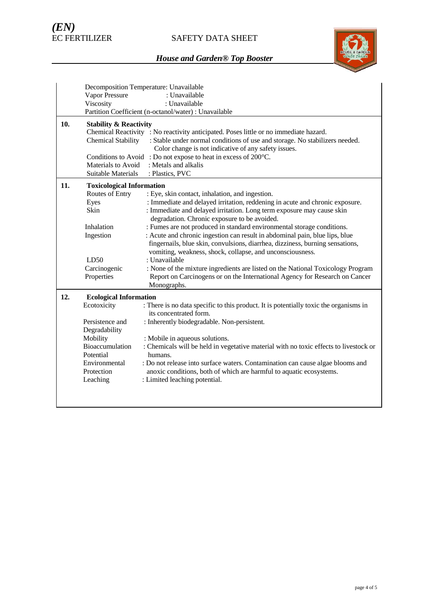# SAFETY DATA SHEET



|     | Decomposition Temperature: Unavailable |                                                                                       |  |  |  |  |
|-----|----------------------------------------|---------------------------------------------------------------------------------------|--|--|--|--|
|     | <b>Vapor Pressure</b>                  | : Unavailable                                                                         |  |  |  |  |
|     | Viscosity                              | : Unavailable                                                                         |  |  |  |  |
|     |                                        | Partition Coefficient (n-octanol/water) : Unavailable                                 |  |  |  |  |
| 10. | <b>Stability &amp; Reactivity</b>      |                                                                                       |  |  |  |  |
|     |                                        | Chemical Reactivity : No reactivity anticipated. Poses little or no immediate hazard. |  |  |  |  |
|     | <b>Chemical Stability</b>              | : Stable under normal conditions of use and storage. No stabilizers needed.           |  |  |  |  |
|     |                                        | Color change is not indicative of any safety issues.                                  |  |  |  |  |
|     | Conditions to Avoid                    | : Do not expose to heat in excess of 200°C.                                           |  |  |  |  |
|     | Materials to Avoid                     | : Metals and alkalis                                                                  |  |  |  |  |
|     | Suitable Materials                     | : Plastics, PVC                                                                       |  |  |  |  |
| 11. |                                        | <b>Toxicological Information</b>                                                      |  |  |  |  |
|     | Routes of Entry                        | : Eye, skin contact, inhalation, and ingestion.                                       |  |  |  |  |
|     | Eyes                                   | : Immediate and delayed irritation, reddening in acute and chronic exposure.          |  |  |  |  |
|     | Skin                                   | : Immediate and delayed irritation. Long term exposure may cause skin                 |  |  |  |  |
|     |                                        | degradation. Chronic exposure to be avoided.                                          |  |  |  |  |
|     | Inhalation                             | : Fumes are not produced in standard environmental storage conditions.                |  |  |  |  |
|     | Ingestion                              | : Acute and chronic ingestion can result in abdominal pain, blue lips, blue           |  |  |  |  |
|     |                                        | fingernails, blue skin, convulsions, diarrhea, dizziness, burning sensations,         |  |  |  |  |
|     |                                        | vomiting, weakness, shock, collapse, and unconsciousness.                             |  |  |  |  |
|     | LD50                                   | : Unavailable                                                                         |  |  |  |  |
|     | Carcinogenic                           | : None of the mixture ingredients are listed on the National Toxicology Program       |  |  |  |  |
|     | Properties                             | Report on Carcinogens or on the International Agency for Research on Cancer           |  |  |  |  |
|     |                                        | Monographs.                                                                           |  |  |  |  |
| 12. | <b>Ecological Information</b>          |                                                                                       |  |  |  |  |
|     | Ecotoxicity                            | : There is no data specific to this product. It is potentially toxic the organisms in |  |  |  |  |
|     |                                        | its concentrated form.                                                                |  |  |  |  |
|     | Persistence and                        | : Inherently biodegradable. Non-persistent.                                           |  |  |  |  |
|     | Degradability                          |                                                                                       |  |  |  |  |
|     | Mobility                               | : Mobile in aqueous solutions.                                                        |  |  |  |  |
|     | Bioaccumulation                        | : Chemicals will be held in vegetative material with no toxic effects to livestock or |  |  |  |  |
|     | Potential                              | humans.                                                                               |  |  |  |  |
|     | Environmental                          | : Do not release into surface waters. Contamination can cause algae blooms and        |  |  |  |  |
|     | Protection                             | anoxic conditions, both of which are harmful to aquatic ecosystems.                   |  |  |  |  |
|     | Leaching                               | : Limited leaching potential.                                                         |  |  |  |  |
|     |                                        |                                                                                       |  |  |  |  |
|     |                                        |                                                                                       |  |  |  |  |